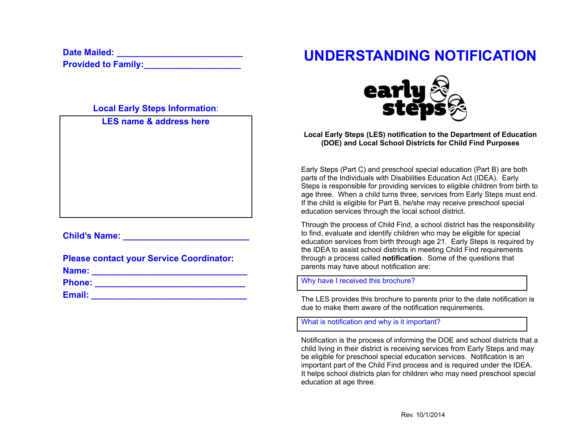**Date Mailed: \_\_\_\_\_\_\_\_\_\_\_\_\_\_\_\_\_\_\_\_\_\_\_\_\_\_**

**Provided to Family:** 

**Local Early Steps Information**:

**LES name & address here**

# **Child's Name: Child's Name: Child's Name: Child's Name: Child's Name: Child's Name: Child's Name: Child's Name: Child's Name: Child's Name: Child's Name: Child's Name: Child's Name: Child's Name:**

|       | <b>Please contact your Service Coordinator:</b> |
|-------|-------------------------------------------------|
| Name: |                                                 |

**Phone: \_\_\_\_\_\_\_\_\_\_\_\_\_\_\_\_\_\_\_\_\_\_\_\_\_\_\_\_\_\_\_**

**Email: \_\_\_\_\_\_\_\_\_\_\_\_\_\_\_\_\_\_\_\_\_\_\_\_\_\_\_\_\_\_\_\_**

# **UNDERSTANDING NOTIFICATION**



**Local Early Steps (LES) notification to the Department of Education (DOE) and Local School Districts for Child Find Purposes**

Early Steps (Part C) and preschool special education (Part B) are both parts of the Individuals with Disabilities Education Act (IDEA). Early Steps is responsible for providing services to eligible children from birth to age three. When a child turns three, services from Early Steps must end. If the child is eligible for Part B, he/she may receive preschool special education services through the local school district.

Through the process of Child Find, a school district has the responsibility to find, evaluate and identify children who may be eligible for special education services from birth through age 21. Early Steps is required by the IDEA to assist school districts in meeting Child Find requirements through a process called **notification**. Some of the questions that parents may have about notification are:

Why have I received this brochure?

The LES provides this brochure to parents prior to the date notification is due to make them aware of the notification requirements.

What is notification and why is it important?

Notification is the process of informing the DOE and school districts that a child living in their district is receiving services from Early Steps and may be eligible for preschool special education services. Notification is an important part of the Child Find process and is required under the IDEA. It helps school districts plan for children who may need preschool special education at age three.